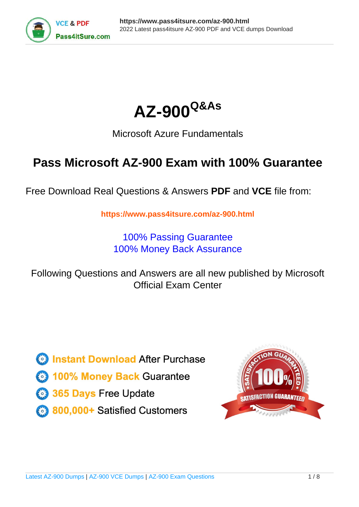



# Microsoft Azure Fundamentals

# **Pass Microsoft AZ-900 Exam with 100% Guarantee**

Free Download Real Questions & Answers **PDF** and **VCE** file from:

**https://www.pass4itsure.com/az-900.html**

100% Passing Guarantee 100% Money Back Assurance

Following Questions and Answers are all new published by Microsoft Official Exam Center

**C** Instant Download After Purchase

**83 100% Money Back Guarantee** 

- 365 Days Free Update
- 800,000+ Satisfied Customers  $603$

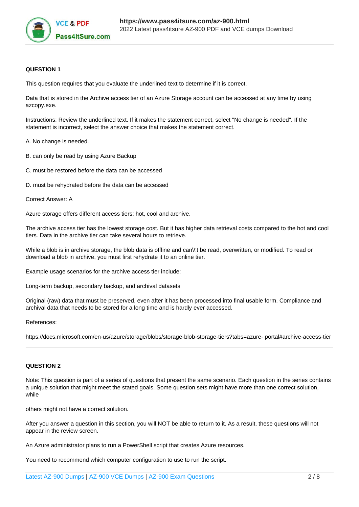

#### **QUESTION 1**

This question requires that you evaluate the underlined text to determine if it is correct.

Data that is stored in the Archive access tier of an Azure Storage account can be accessed at any time by using azcopy.exe.

Instructions: Review the underlined text. If it makes the statement correct, select "No change is needed". If the statement is incorrect, select the answer choice that makes the statement correct.

A. No change is needed.

- B. can only be read by using Azure Backup
- C. must be restored before the data can be accessed
- D. must be rehydrated before the data can be accessed
- Correct Answer: A

Azure storage offers different access tiers: hot, cool and archive.

The archive access tier has the lowest storage cost. But it has higher data retrieval costs compared to the hot and cool tiers. Data in the archive tier can take several hours to retrieve.

While a blob is in archive storage, the blob data is offline and can\\'t be read, overwritten, or modified. To read or download a blob in archive, you must first rehydrate it to an online tier.

Example usage scenarios for the archive access tier include:

Long-term backup, secondary backup, and archival datasets

Original (raw) data that must be preserved, even after it has been processed into final usable form. Compliance and archival data that needs to be stored for a long time and is hardly ever accessed.

References:

https://docs.microsoft.com/en-us/azure/storage/blobs/storage-blob-storage-tiers?tabs=azure- portal#archive-access-tier

### **QUESTION 2**

Note: This question is part of a series of questions that present the same scenario. Each question in the series contains a unique solution that might meet the stated goals. Some question sets might have more than one correct solution, while

others might not have a correct solution.

After you answer a question in this section, you will NOT be able to return to it. As a result, these questions will not appear in the review screen.

An Azure administrator plans to run a PowerShell script that creates Azure resources.

You need to recommend which computer configuration to use to run the script.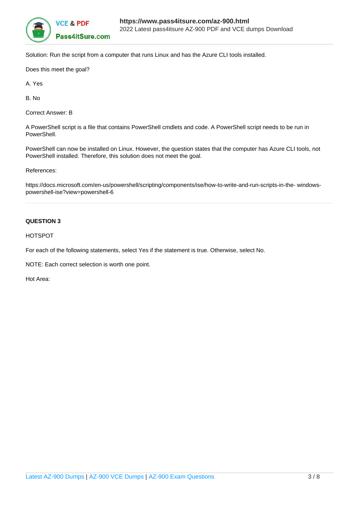

Solution: Run the script from a computer that runs Linux and has the Azure CLI tools installed.

Does this meet the goal?

A. Yes

B. No

Correct Answer: B

A PowerShell script is a file that contains PowerShell cmdlets and code. A PowerShell script needs to be run in PowerShell.

PowerShell can now be installed on Linux. However, the question states that the computer has Azure CLI tools, not PowerShell installed. Therefore, this solution does not meet the goal.

References:

https://docs.microsoft.com/en-us/powershell/scripting/components/ise/how-to-write-and-run-scripts-in-the- windowspowershell-ise?view=powershell-6

#### **QUESTION 3**

HOTSPOT

For each of the following statements, select Yes if the statement is true. Otherwise, select No.

NOTE: Each correct selection is worth one point.

Hot Area: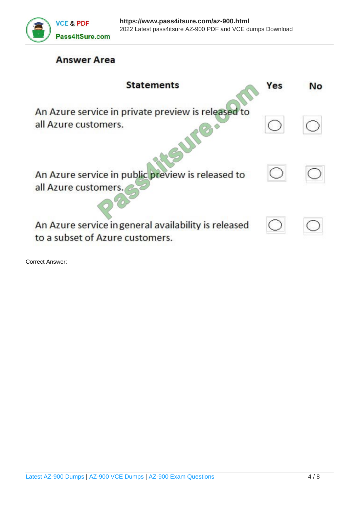

# **Answer Area**

| <b>Statements</b>                                                                       | Yes | Nο |
|-----------------------------------------------------------------------------------------|-----|----|
| An Azure service in private preview is released to<br>all Azure customers.              |     |    |
| An Azure service in public preview is released to<br>all Azure customers.               |     |    |
| An Azure service in general availability is released<br>to a subset of Azure customers. |     |    |

Correct Answer: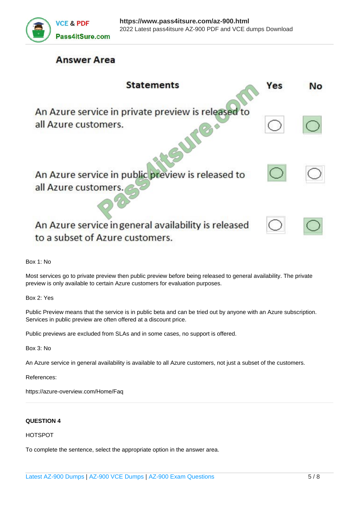

## **Answer Area**

| <b>Statements</b>                                                                       | Yes | Nο |
|-----------------------------------------------------------------------------------------|-----|----|
| An Azure service in private preview is released to<br>all Azure customers.              |     |    |
| An Azure service in public preview is released to<br>all Azure customers.               |     |    |
| An Azure service in general availability is released<br>to a subset of Azure customers. |     |    |

Box 1: No

Most services go to private preview then public preview before being released to general availability. The private preview is only available to certain Azure customers for evaluation purposes.

Box 2: Yes

Public Preview means that the service is in public beta and can be tried out by anyone with an Azure subscription. Services in public preview are often offered at a discount price.

Public previews are excluded from SLAs and in some cases, no support is offered.

Box 3: No

An Azure service in general availability is available to all Azure customers, not just a subset of the customers.

References:

https://azure-overview.com/Home/Faq

### **QUESTION 4**

## HOTSPOT

To complete the sentence, select the appropriate option in the answer area.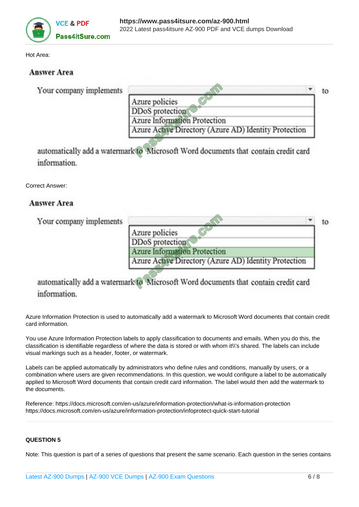

Hot Area:

## **Answer Area**

|                                                       | to |
|-------------------------------------------------------|----|
| Azure policies                                        |    |
| DDoS protection                                       |    |
| Azure Information Protection                          |    |
| Azure Active Directory (Azure AD) Identity Protection |    |
|                                                       |    |

automatically add a watermark to Microsoft Word documents that contain credit card information.

Correct Answer:

## **Answer Area**

| Your company implements |                                                       | to |
|-------------------------|-------------------------------------------------------|----|
|                         | Azure policies                                        |    |
|                         | DDoS protection                                       |    |
|                         | Azure Information Protection                          |    |
|                         | Azure Active Directory (Azure AD) Identity Protection |    |

automatically add a watermark to Microsoft Word documents that contain credit card information.

Azure Information Protection is used to automatically add a watermark to Microsoft Word documents that contain credit card information.

You use Azure Information Protection labels to apply classification to documents and emails. When you do this, the classification is identifiable regardless of where the data is stored or with whom it\\'s shared. The labels can include visual markings such as a header, footer, or watermark.

Labels can be applied automatically by administrators who define rules and conditions, manually by users, or a combination where users are given recommendations. In this question, we would configure a label to be automatically applied to Microsoft Word documents that contain credit card information. The label would then add the watermark to the documents.

Reference: https://docs.microsoft.com/en-us/azure/information-protection/what-is-information-protection https://docs.microsoft.com/en-us/azure/information-protection/infoprotect-quick-start-tutorial

## **QUESTION 5**

Note: This question is part of a series of questions that present the same scenario. Each question in the series contains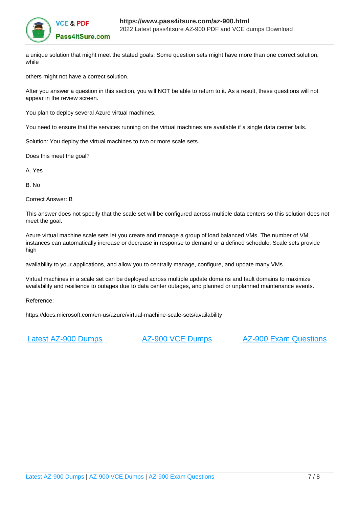

a unique solution that might meet the stated goals. Some question sets might have more than one correct solution, while

others might not have a correct solution.

After you answer a question in this section, you will NOT be able to return to it. As a result, these questions will not appear in the review screen.

You plan to deploy several Azure virtual machines.

You need to ensure that the services running on the virtual machines are available if a single data center fails.

Solution: You deploy the virtual machines to two or more scale sets.

Does this meet the goal?

A. Yes

B. No

Correct Answer: B

This answer does not specify that the scale set will be configured across multiple data centers so this solution does not meet the goal.

Azure virtual machine scale sets let you create and manage a group of load balanced VMs. The number of VM instances can automatically increase or decrease in response to demand or a defined schedule. Scale sets provide high

availability to your applications, and allow you to centrally manage, configure, and update many VMs.

Virtual machines in a scale set can be deployed across multiple update domains and fault domains to maximize availability and resilience to outages due to data center outages, and planned or unplanned maintenance events.

Reference:

https://docs.microsoft.com/en-us/azure/virtual-machine-scale-sets/availability

[Latest AZ-900 Dumps](https://www.pass4itsure.com/az-900.html) [AZ-900 VCE Dumps](https://www.pass4itsure.com/az-900.html) [AZ-900 Exam Questions](https://www.pass4itsure.com/az-900.html)